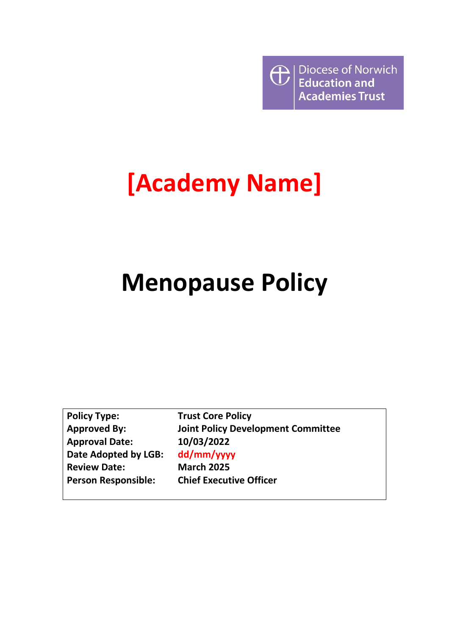

# **[Academy Name]**

# **Menopause Policy**

| <b>Policy Type:</b>        |
|----------------------------|
| <b>Approved By:</b>        |
| <b>Approval Date:</b>      |
| Date Adopted by LGB:       |
| <b>Review Date:</b>        |
| <b>Person Responsible:</b> |

**Trust Core Policy Joint Policy Development Committee 10/03/2022 dd/mm/yyyy March 2025 Chief Executive Officer**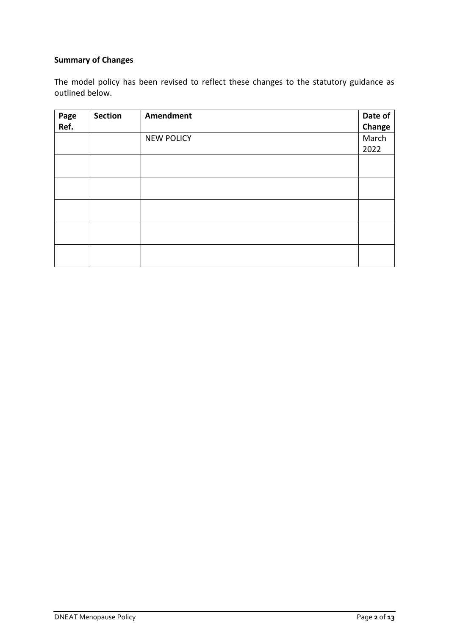# **Summary of Changes**

The model policy has been revised to reflect these changes to the statutory guidance as outlined below.

| Page<br>Ref. | <b>Section</b> | Amendment         | Date of<br>Change |
|--------------|----------------|-------------------|-------------------|
|              |                | <b>NEW POLICY</b> | March<br>2022     |
|              |                |                   |                   |
|              |                |                   |                   |
|              |                |                   |                   |
|              |                |                   |                   |
|              |                |                   |                   |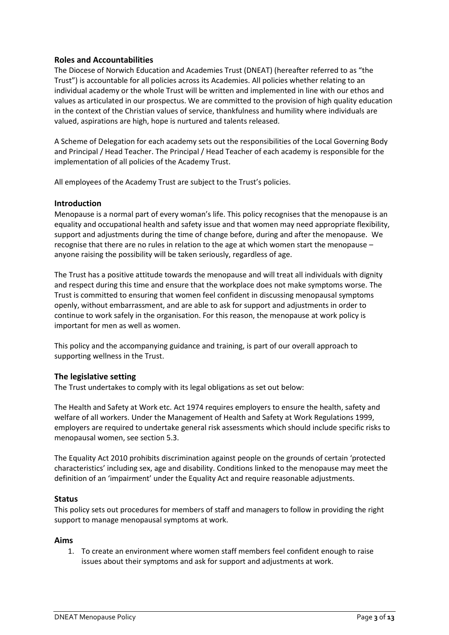### **Roles and Accountabilities**

The Diocese of Norwich Education and Academies Trust (DNEAT) (hereafter referred to as "the Trust") is accountable for all policies across its Academies. All policies whether relating to an individual academy or the whole Trust will be written and implemented in line with our ethos and values as articulated in our prospectus. We are committed to the provision of high quality education in the context of the Christian values of service, thankfulness and humility where individuals are valued, aspirations are high, hope is nurtured and talents released.

A Scheme of Delegation for each academy sets out the responsibilities of the Local Governing Body and Principal / Head Teacher. The Principal / Head Teacher of each academy is responsible for the implementation of all policies of the Academy Trust.

All employees of the Academy Trust are subject to the Trust's policies.

#### **Introduction**

Menopause is a normal part of every woman's life. This policy recognises that the menopause is an equality and occupational health and safety issue and that women may need appropriate flexibility, support and adjustments during the time of change before, during and after the menopause. We recognise that there are no rules in relation to the age at which women start the menopause – anyone raising the possibility will be taken seriously, regardless of age.

The Trust has a positive attitude towards the menopause and will treat all individuals with dignity and respect during this time and ensure that the workplace does not make symptoms worse. The Trust is committed to ensuring that women feel confident in discussing menopausal symptoms openly, without embarrassment, and are able to ask for support and adjustments in order to continue to work safely in the organisation. For this reason, the menopause at work policy is important for men as well as women.

This policy and the accompanying guidance and training, is part of our overall approach to supporting wellness in the Trust.

#### **The legislative setting**

The Trust undertakes to comply with its legal obligations as set out below:

The Health and Safety at Work etc. Act 1974 requires employers to ensure the health, safety and welfare of all workers. Under the Management of Health and Safety at Work Regulations 1999, employers are required to undertake general risk assessments which should include specific risks to menopausal women, see section 5.3.

The Equality Act 2010 prohibits discrimination against people on the grounds of certain 'protected characteristics' including sex, age and disability. Conditions linked to the menopause may meet the definition of an 'impairment' under the Equality Act and require reasonable adjustments.

#### **Status**

This policy sets out procedures for members of staff and managers to follow in providing the right support to manage menopausal symptoms at work.

#### **Aims**

1. To create an environment where women staff members feel confident enough to raise issues about their symptoms and ask for support and adjustments at work.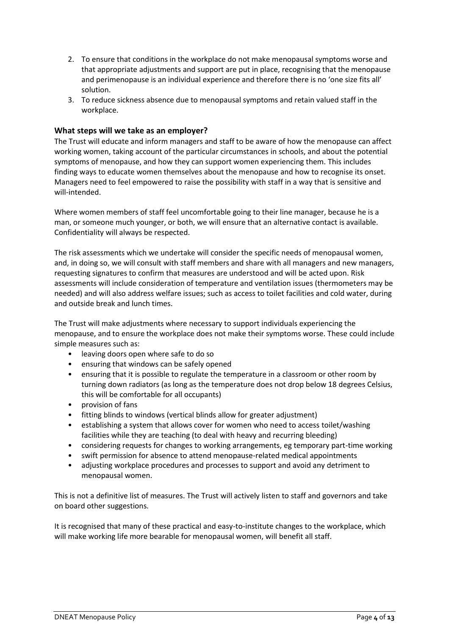- 2. To ensure that conditions in the workplace do not make menopausal symptoms worse and that appropriate adjustments and support are put in place, recognising that the menopause and perimenopause is an individual experience and therefore there is no 'one size fits all' solution.
- 3. To reduce sickness absence due to menopausal symptoms and retain valued staff in the workplace.

#### **What steps will we take as an employer?**

The Trust will educate and inform managers and staff to be aware of how the menopause can affect working women, taking account of the particular circumstances in schools, and about the potential symptoms of menopause, and how they can support women experiencing them. This includes finding ways to educate women themselves about the menopause and how to recognise its onset. Managers need to feel empowered to raise the possibility with staff in a way that is sensitive and will-intended.

Where women members of staff feel uncomfortable going to their line manager, because he is a man, or someone much younger, or both, we will ensure that an alternative contact is available. Confidentiality will always be respected.

The risk assessments which we undertake will consider the specific needs of menopausal women, and, in doing so, we will consult with staff members and share with all managers and new managers, requesting signatures to confirm that measures are understood and will be acted upon. Risk assessments will include consideration of temperature and ventilation issues (thermometers may be needed) and will also address welfare issues; such as access to toilet facilities and cold water, during and outside break and lunch times.

The Trust will make adjustments where necessary to support individuals experiencing the menopause, and to ensure the workplace does not make their symptoms worse. These could include simple measures such as:

- leaving doors open where safe to do so
- ensuring that windows can be safely opened
- ensuring that it is possible to regulate the temperature in a classroom or other room by turning down radiators (as long as the temperature does not drop below 18 degrees Celsius, this will be comfortable for all occupants)
- provision of fans
- fitting blinds to windows (vertical blinds allow for greater adjustment)
- establishing a system that allows cover for women who need to access toilet/washing facilities while they are teaching (to deal with heavy and recurring bleeding)
- considering requests for changes to working arrangements, eg temporary part-time working
- swift permission for absence to attend menopause-related medical appointments
- adjusting workplace procedures and processes to support and avoid any detriment to menopausal women.

This is not a definitive list of measures. The Trust will actively listen to staff and governors and take on board other suggestions.

It is recognised that many of these practical and easy-to-institute changes to the workplace, which will make working life more bearable for menopausal women, will benefit all staff.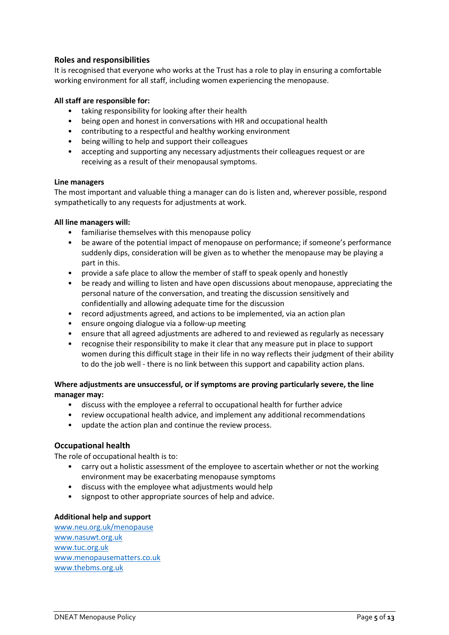### **Roles and responsibilities**

It is recognised that everyone who works at the Trust has a role to play in ensuring a comfortable working environment for all staff, including women experiencing the menopause.

#### **All staff are responsible for:**

- taking responsibility for looking after their health
- being open and honest in conversations with HR and occupational health
- contributing to a respectful and healthy working environment
- being willing to help and support their colleagues
- accepting and supporting any necessary adjustments their colleagues request or are receiving as a result of their menopausal symptoms.

#### **Line managers**

The most important and valuable thing a manager can do is listen and, wherever possible, respond sympathetically to any requests for adjustments at work.

#### **All line managers will:**

- familiarise themselves with this menopause policy
- be aware of the potential impact of menopause on performance; if someone's performance suddenly dips, consideration will be given as to whether the menopause may be playing a part in this.
- provide a safe place to allow the member of staff to speak openly and honestly
- be ready and willing to listen and have open discussions about menopause, appreciating the personal nature of the conversation, and treating the discussion sensitively and confidentially and allowing adequate time for the discussion
- record adjustments agreed, and actions to be implemented, via an action plan
- ensure ongoing dialogue via a follow-up meeting
- ensure that all agreed adjustments are adhered to and reviewed as regularly as necessary
- recognise their responsibility to make it clear that any measure put in place to support women during this difficult stage in their life in no way reflects their judgment of their ability to do the job well - there is no link between this support and capability action plans.

#### **Where adjustments are unsuccessful, or if symptoms are proving particularly severe, the line manager may:**

- discuss with the employee a referral to occupational health for further advice
- review occupational health advice, and implement any additional recommendations
- update the action plan and continue the review process.

#### **Occupational health**

The role of occupational health is to:

- carry out a holistic assessment of the employee to ascertain whether or not the working environment may be exacerbating menopause symptoms
- discuss with the employee what adjustments would help
- signpost to other appropriate sources of help and advice.

#### **Additional help and support**

[www.neu.org.uk/menopause](http://www.neu.org.uk/menopause) [www.nasuwt.org.uk](http://www.nasuwt.org.uk/) [www.tuc.org.uk](http://www.tuc.org.uk/) [www.menopausematters.co.uk](http://www.menopausematters.co.uk/) [www.thebms.org.uk](http://www.thebms.org.uk/)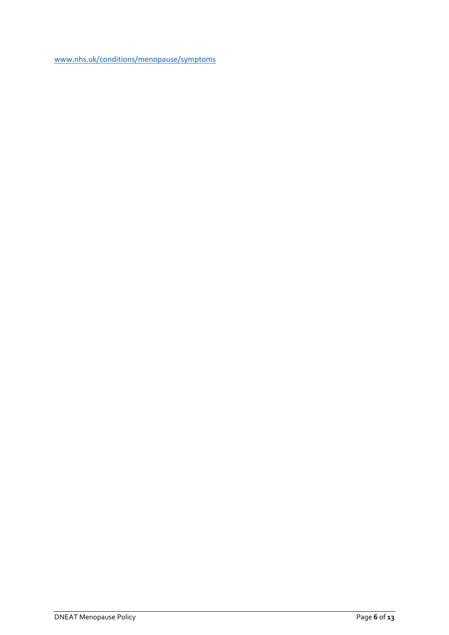[www.nhs.uk/conditions/menopause/symptoms](http://www.nhs.uk/conditions/menopause/symptoms)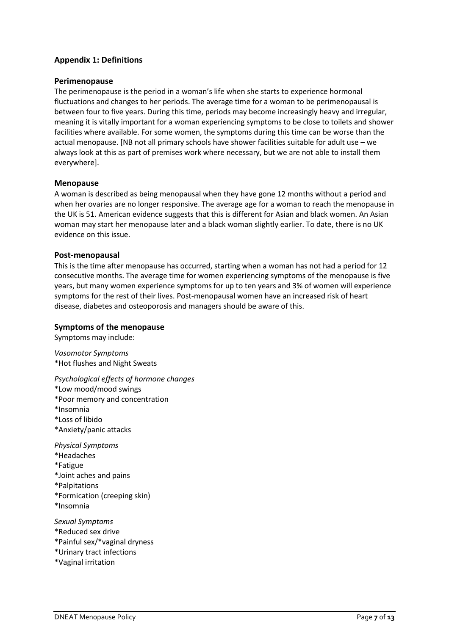# **Appendix 1: Definitions**

#### **Perimenopause**

The perimenopause is the period in a woman's life when she starts to experience hormonal fluctuations and changes to her periods. The average time for a woman to be perimenopausal is between four to five years. During this time, periods may become increasingly heavy and irregular, meaning it is vitally important for a woman experiencing symptoms to be close to toilets and shower facilities where available. For some women, the symptoms during this time can be worse than the actual menopause. [NB not all primary schools have shower facilities suitable for adult use – we always look at this as part of premises work where necessary, but we are not able to install them everywhere].

#### **Menopause**

A woman is described as being menopausal when they have gone 12 months without a period and when her ovaries are no longer responsive. The average age for a woman to reach the menopause in the UK is 51. American evidence suggests that this is different for Asian and black women. An Asian woman may start her menopause later and a black woman slightly earlier. To date, there is no UK evidence on this issue.

#### **Post-menopausal**

This is the time after menopause has occurred, starting when a woman has not had a period for 12 consecutive months. The average time for women experiencing symptoms of the menopause is five years, but many women experience symptoms for up to ten years and 3% of women will experience symptoms for the rest of their lives. Post-menopausal women have an increased risk of heart disease, diabetes and osteoporosis and managers should be aware of this.

#### **Symptoms of the menopause**

Symptoms may include:

*Vasomotor Symptoms* \*Hot flushes and Night Sweats

*Psychological effects of hormone changes*

\*Low mood/mood swings

\*Poor memory and concentration

\*Insomnia

- \*Loss of libido
- \*Anxiety/panic attacks

*Physical Symptoms* \*Headaches

- \*Fatigue
- \*Joint aches and pains
- \*Palpitations
- \*Formication (creeping skin)
- \*Insomnia

*Sexual Symptoms* \*Reduced sex drive

- \*Painful sex/\*vaginal dryness
- \*Urinary tract infections
- \*Vaginal irritation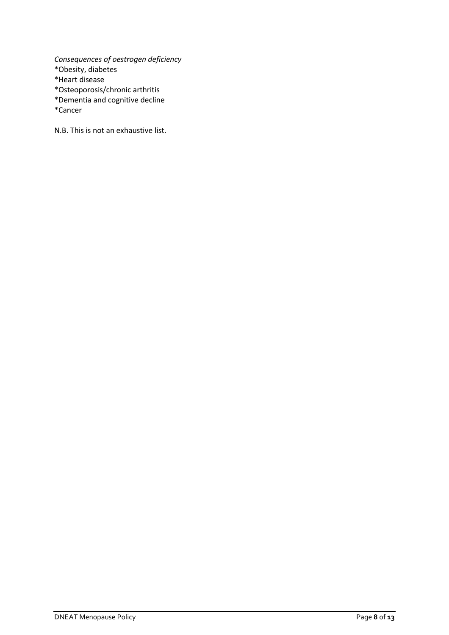*Consequences of oestrogen deficiency* \*Obesity, diabetes \*Heart disease \*Osteoporosis/chronic arthritis \*Dementia and cognitive decline

\*Cancer

N.B. This is not an exhaustive list.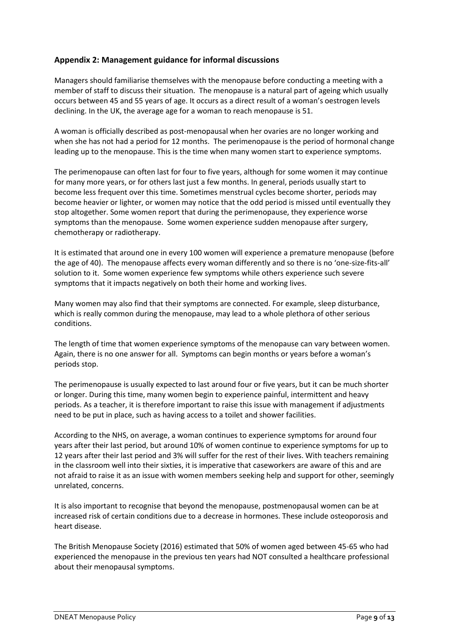# **Appendix 2: Management guidance for informal discussions**

Managers should familiarise themselves with the menopause before conducting a meeting with a member of staff to discuss their situation. The menopause is a natural part of ageing which usually occurs between 45 and 55 years of age. It occurs as a direct result of a woman's oestrogen levels declining. In the UK, the average age for a woman to reach menopause is 51.

A woman is officially described as post-menopausal when her ovaries are no longer working and when she has not had a period for 12 months. The perimenopause is the period of hormonal change leading up to the menopause. This is the time when many women start to experience symptoms.

The perimenopause can often last for four to five years, although for some women it may continue for many more years, or for others last just a few months. In general, periods usually start to become less frequent over this time. Sometimes menstrual cycles become shorter, periods may become heavier or lighter, or women may notice that the odd period is missed until eventually they stop altogether. Some women report that during the perimenopause, they experience worse symptoms than the menopause. Some women experience sudden menopause after surgery, chemotherapy or radiotherapy.

It is estimated that around one in every 100 women will experience a premature menopause (before the age of 40). The menopause affects every woman differently and so there is no 'one-size-fits-all' solution to it. Some women experience few symptoms while others experience such severe symptoms that it impacts negatively on both their home and working lives.

Many women may also find that their symptoms are connected. For example, sleep disturbance, which is really common during the menopause, may lead to a whole plethora of other serious conditions.

The length of time that women experience symptoms of the menopause can vary between women. Again, there is no one answer for all. Symptoms can begin months or years before a woman's periods stop.

The perimenopause is usually expected to last around four or five years, but it can be much shorter or longer. During this time, many women begin to experience painful, intermittent and heavy periods. As a teacher, it is therefore important to raise this issue with management if adjustments need to be put in place, such as having access to a toilet and shower facilities.

According to the NHS, on average, a woman continues to experience symptoms for around four years after their last period, but around 10% of women continue to experience symptoms for up to 12 years after their last period and 3% will suffer for the rest of their lives. With teachers remaining in the classroom well into their sixties, it is imperative that caseworkers are aware of this and are not afraid to raise it as an issue with women members seeking help and support for other, seemingly unrelated, concerns.

It is also important to recognise that beyond the menopause, postmenopausal women can be at increased risk of certain conditions due to a decrease in hormones. These include osteoporosis and heart disease.

The British Menopause Society (2016) estimated that 50% of women aged between 45-65 who had experienced the menopause in the previous ten years had NOT consulted a healthcare professional about their menopausal symptoms.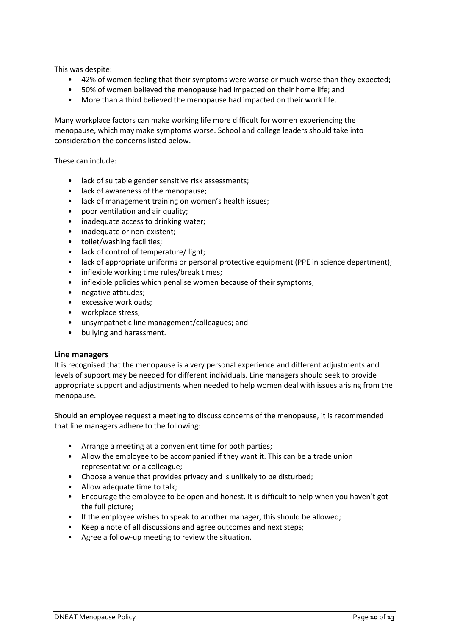This was despite:

- 42% of women feeling that their symptoms were worse or much worse than they expected;
- 50% of women believed the menopause had impacted on their home life; and
- More than a third believed the menopause had impacted on their work life.

Many workplace factors can make working life more difficult for women experiencing the menopause, which may make symptoms worse. School and college leaders should take into consideration the concerns listed below.

These can include:

- lack of suitable gender sensitive risk assessments;
- lack of awareness of the menopause;
- lack of management training on women's health issues;
- poor ventilation and air quality;
- inadequate access to drinking water;
- inadequate or non-existent;
- toilet/washing facilities;
- lack of control of temperature/ light;
- lack of appropriate uniforms or personal protective equipment (PPE in science department);
- inflexible working time rules/break times;
- inflexible policies which penalise women because of their symptoms;
- negative attitudes;
- excessive workloads;
- workplace stress;
- unsympathetic line management/colleagues; and
- bullying and harassment.

#### **Line managers**

It is recognised that the menopause is a very personal experience and different adjustments and levels of support may be needed for different individuals. Line managers should seek to provide appropriate support and adjustments when needed to help women deal with issues arising from the menopause.

Should an employee request a meeting to discuss concerns of the menopause, it is recommended that line managers adhere to the following:

- Arrange a meeting at a convenient time for both parties;
- Allow the employee to be accompanied if they want it. This can be a trade union representative or a colleague;
- Choose a venue that provides privacy and is unlikely to be disturbed;
- Allow adequate time to talk;
- Encourage the employee to be open and honest. It is difficult to help when you haven't got the full picture;
- If the employee wishes to speak to another manager, this should be allowed;
- Keep a note of all discussions and agree outcomes and next steps;
- Agree a follow-up meeting to review the situation.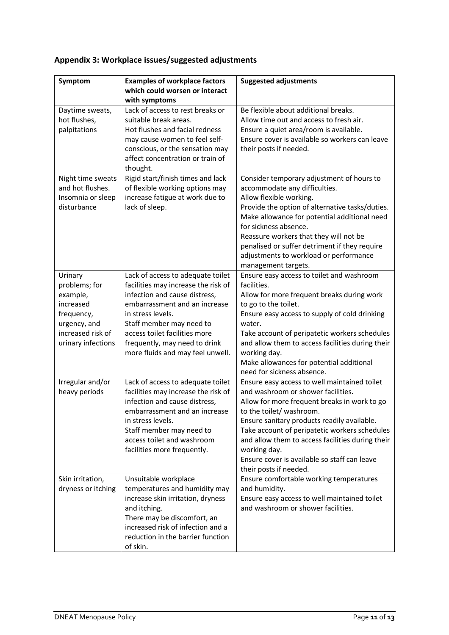# **Appendix 3: Workplace issues/suggested adjustments**

| Symptom                                                                                                                    | <b>Examples of workplace factors</b><br>which could worsen or interact                                                                                                                                                                                                                            | <b>Suggested adjustments</b>                                                                                                                                                                                                                                                                                                                                                                                 |
|----------------------------------------------------------------------------------------------------------------------------|---------------------------------------------------------------------------------------------------------------------------------------------------------------------------------------------------------------------------------------------------------------------------------------------------|--------------------------------------------------------------------------------------------------------------------------------------------------------------------------------------------------------------------------------------------------------------------------------------------------------------------------------------------------------------------------------------------------------------|
| Daytime sweats,                                                                                                            | with symptoms<br>Lack of access to rest breaks or                                                                                                                                                                                                                                                 | Be flexible about additional breaks.                                                                                                                                                                                                                                                                                                                                                                         |
| hot flushes,<br>palpitations                                                                                               | suitable break areas.<br>Hot flushes and facial redness<br>may cause women to feel self-<br>conscious, or the sensation may<br>affect concentration or train of<br>thought.                                                                                                                       | Allow time out and access to fresh air.<br>Ensure a quiet area/room is available.<br>Ensure cover is available so workers can leave<br>their posts if needed.                                                                                                                                                                                                                                                |
| Night time sweats<br>and hot flushes.<br>Insomnia or sleep<br>disturbance                                                  | Rigid start/finish times and lack<br>of flexible working options may<br>increase fatigue at work due to<br>lack of sleep.                                                                                                                                                                         | Consider temporary adjustment of hours to<br>accommodate any difficulties.<br>Allow flexible working.<br>Provide the option of alternative tasks/duties.<br>Make allowance for potential additional need<br>for sickness absence.<br>Reassure workers that they will not be<br>penalised or suffer detriment if they require<br>adjustments to workload or performance<br>management targets.                |
| Urinary<br>problems; for<br>example,<br>increased<br>frequency,<br>urgency, and<br>increased risk of<br>urinary infections | Lack of access to adequate toilet<br>facilities may increase the risk of<br>infection and cause distress,<br>embarrassment and an increase<br>in stress levels.<br>Staff member may need to<br>access toilet facilities more<br>frequently, may need to drink<br>more fluids and may feel unwell. | Ensure easy access to toilet and washroom<br>facilities.<br>Allow for more frequent breaks during work<br>to go to the toilet.<br>Ensure easy access to supply of cold drinking<br>water.<br>Take account of peripatetic workers schedules<br>and allow them to access facilities during their<br>working day.<br>Make allowances for potential additional<br>need for sickness absence.                     |
| Irregular and/or<br>heavy periods                                                                                          | Lack of access to adequate toilet<br>facilities may increase the risk of<br>infection and cause distress,<br>embarrassment and an increase<br>in stress levels.<br>Staff member may need to<br>access toilet and washroom<br>facilities more frequently.                                          | Ensure easy access to well maintained toilet<br>and washroom or shower facilities.<br>Allow for more frequent breaks in work to go<br>to the toilet/ washroom.<br>Ensure sanitary products readily available.<br>Take account of peripatetic workers schedules<br>and allow them to access facilities during their<br>working day.<br>Ensure cover is available so staff can leave<br>their posts if needed. |
| Skin irritation,<br>dryness or itching                                                                                     | Unsuitable workplace<br>temperatures and humidity may<br>increase skin irritation, dryness<br>and itching.<br>There may be discomfort, an<br>increased risk of infection and a<br>reduction in the barrier function<br>of skin.                                                                   | Ensure comfortable working temperatures<br>and humidity.<br>Ensure easy access to well maintained toilet<br>and washroom or shower facilities.                                                                                                                                                                                                                                                               |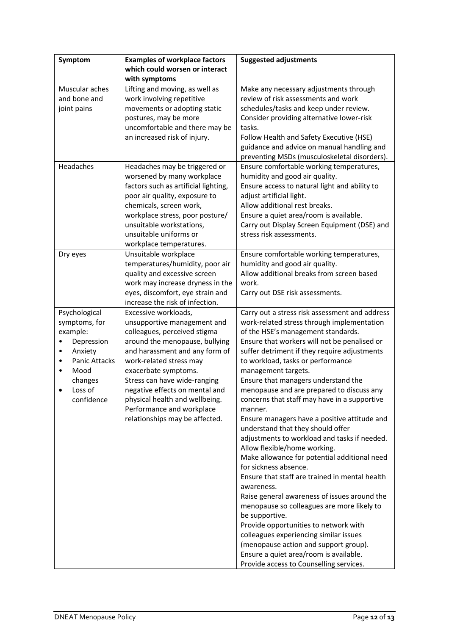| Symptom                   | <b>Examples of workplace factors</b>                        | <b>Suggested adjustments</b>                                             |
|---------------------------|-------------------------------------------------------------|--------------------------------------------------------------------------|
|                           | which could worsen or interact                              |                                                                          |
|                           | with symptoms                                               |                                                                          |
| Muscular aches            | Lifting and moving, as well as                              | Make any necessary adjustments through                                   |
| and bone and              | work involving repetitive                                   | review of risk assessments and work                                      |
| joint pains               | movements or adopting static                                | schedules/tasks and keep under review.                                   |
|                           | postures, may be more                                       | Consider providing alternative lower-risk                                |
|                           | uncomfortable and there may be                              | tasks.                                                                   |
|                           | an increased risk of injury.                                | Follow Health and Safety Executive (HSE)                                 |
|                           |                                                             | guidance and advice on manual handling and                               |
|                           |                                                             | preventing MSDs (musculoskeletal disorders).                             |
| Headaches                 | Headaches may be triggered or                               | Ensure comfortable working temperatures,                                 |
|                           | worsened by many workplace                                  | humidity and good air quality.                                           |
|                           | factors such as artificial lighting,                        | Ensure access to natural light and ability to                            |
|                           | poor air quality, exposure to                               | adjust artificial light.                                                 |
|                           | chemicals, screen work,                                     | Allow additional rest breaks.                                            |
|                           | workplace stress, poor posture/                             | Ensure a quiet area/room is available.                                   |
|                           | unsuitable workstations,<br>unsuitable uniforms or          | Carry out Display Screen Equipment (DSE) and<br>stress risk assessments. |
|                           | workplace temperatures.                                     |                                                                          |
| Dry eyes                  | Unsuitable workplace                                        | Ensure comfortable working temperatures,                                 |
|                           | temperatures/humidity, poor air                             | humidity and good air quality.                                           |
|                           | quality and excessive screen                                | Allow additional breaks from screen based                                |
|                           | work may increase dryness in the                            | work.                                                                    |
|                           | eyes, discomfort, eye strain and                            | Carry out DSE risk assessments.                                          |
|                           | increase the risk of infection.                             |                                                                          |
| Psychological             | Excessive workloads,                                        | Carry out a stress risk assessment and address                           |
| symptoms, for             | unsupportive management and                                 | work-related stress through implementation                               |
| example:                  | colleagues, perceived stigma                                | of the HSE's management standards.                                       |
| Depression                | around the menopause, bullying                              | Ensure that workers will not be penalised or                             |
| Anxiety<br>$\bullet$      | and harassment and any form of                              | suffer detriment if they require adjustments                             |
| <b>Panic Attacks</b><br>٠ | work-related stress may                                     | to workload, tasks or performance                                        |
| Mood                      | exacerbate symptoms.                                        | management targets.                                                      |
| changes                   | Stress can have wide-ranging                                | Ensure that managers understand the                                      |
| Loss of                   | negative effects on mental and                              | menopause and are prepared to discuss any                                |
| confidence                | physical health and wellbeing.                              | concerns that staff may have in a supportive<br>manner.                  |
|                           | Performance and workplace<br>relationships may be affected. | Ensure managers have a positive attitude and                             |
|                           |                                                             | understand that they should offer                                        |
|                           |                                                             | adjustments to workload and tasks if needed.                             |
|                           |                                                             | Allow flexible/home working.                                             |
|                           |                                                             | Make allowance for potential additional need                             |
|                           |                                                             | for sickness absence.                                                    |
|                           |                                                             | Ensure that staff are trained in mental health                           |
|                           |                                                             | awareness.                                                               |
|                           |                                                             | Raise general awareness of issues around the                             |
|                           |                                                             | menopause so colleagues are more likely to                               |
|                           |                                                             | be supportive.                                                           |
|                           |                                                             | Provide opportunities to network with                                    |
|                           |                                                             | colleagues experiencing similar issues                                   |
|                           |                                                             | (menopause action and support group).                                    |
|                           |                                                             | Ensure a quiet area/room is available.                                   |
|                           |                                                             | Provide access to Counselling services.                                  |